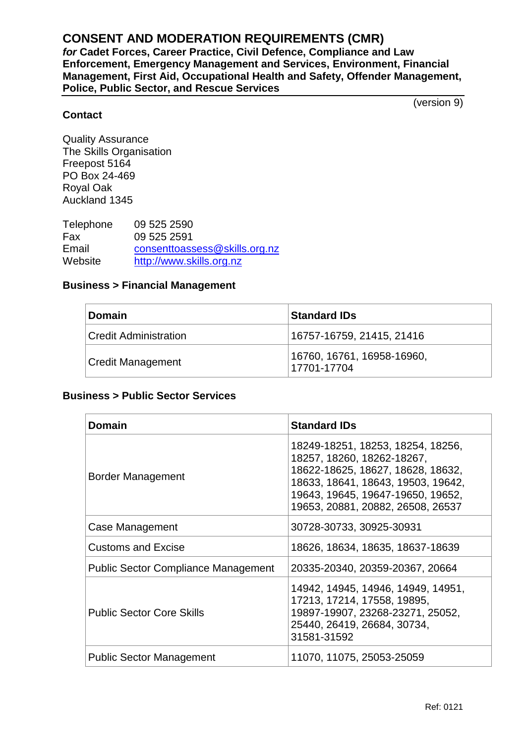## **CONSENT AND MODERATION REQUIREMENTS (CMR)**

*for* **Cadet Forces, Career Practice, Civil Defence, Compliance and Law Enforcement, Emergency Management and Services, Environment, Financial Management, First Aid, Occupational Health and Safety, Offender Management, Police, Public Sector, and Rescue Services**

(version 9)

## **Contact**

Quality Assurance The Skills Organisation Freepost 5164 PO Box 24-469 Royal Oak Auckland 1345

Telephone 09 525 2590 Fax 09 525 2591<br>Email consenttoass [consenttoassess@skills.org.nz](mailto:consenttoassess@skills.org.nz) Website [http://www.skills.org.nz](http://www.skills.org.nz/)

## **Business > Financial Management**

| <b>Domain</b>                | <b>Standard IDs</b>                       |
|------------------------------|-------------------------------------------|
| <b>Credit Administration</b> | 16757-16759, 21415, 21416                 |
| <b>Credit Management</b>     | 16760, 16761, 16958-16960,<br>17701-17704 |

## **Business > Public Sector Services**

| Domain                                     | <b>Standard IDs</b>                                                                                                                                                                                                  |
|--------------------------------------------|----------------------------------------------------------------------------------------------------------------------------------------------------------------------------------------------------------------------|
| Border Management                          | 18249-18251, 18253, 18254, 18256,<br>18257, 18260, 18262-18267,<br>18622-18625, 18627, 18628, 18632,<br>18633, 18641, 18643, 19503, 19642,<br>19643, 19645, 19647-19650, 19652,<br>19653, 20881, 20882, 26508, 26537 |
| Case Management                            | 30728-30733, 30925-30931                                                                                                                                                                                             |
| Customs and Excise                         | 18626, 18634, 18635, 18637-18639                                                                                                                                                                                     |
| <b>Public Sector Compliance Management</b> | 20335-20340, 20359-20367, 20664                                                                                                                                                                                      |
| <b>Public Sector Core Skills</b>           | 14942, 14945, 14946, 14949, 14951,<br>17213, 17214, 17558, 19895,<br>19897-19907, 23268-23271, 25052,<br>25440, 26419, 26684, 30734,<br>31581-31592                                                                  |
| <b>Public Sector Management</b>            | 11070, 11075, 25053-25059                                                                                                                                                                                            |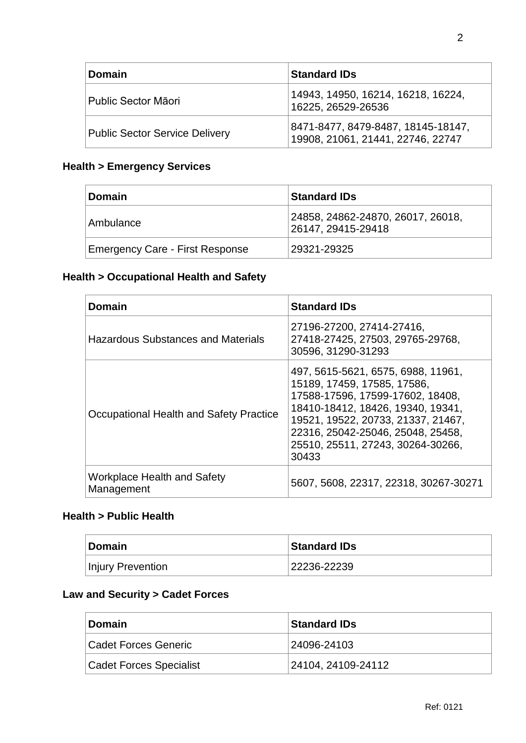| <b>Domain</b>                         | <b>Standard IDs</b>                                                     |
|---------------------------------------|-------------------------------------------------------------------------|
| Public Sector Māori                   | 14943, 14950, 16214, 16218, 16224,<br>16225, 26529-26536                |
| <b>Public Sector Service Delivery</b> | 8471-8477, 8479-8487, 18145-18147,<br>19908, 21061, 21441, 22746, 22747 |

## **Health > Emergency Services**

| Domain                          | <b>Standard IDs</b>                                     |
|---------------------------------|---------------------------------------------------------|
| Ambulance                       | 24858, 24862-24870, 26017, 26018,<br>26147, 29415-29418 |
| Emergency Care - First Response | 29321-29325                                             |

## **Health > Occupational Health and Safety**

| <b>Domain</b>                                    | <b>Standard IDs</b>                                                                                                                                                                                                                                                 |
|--------------------------------------------------|---------------------------------------------------------------------------------------------------------------------------------------------------------------------------------------------------------------------------------------------------------------------|
| <b>Hazardous Substances and Materials</b>        | 27196-27200, 27414-27416,<br>27418-27425, 27503, 29765-29768,<br>30596, 31290-31293                                                                                                                                                                                 |
| Occupational Health and Safety Practice          | 497, 5615-5621, 6575, 6988, 11961,<br>15189, 17459, 17585, 17586,<br>17588-17596, 17599-17602, 18408,<br>18410-18412, 18426, 19340, 19341,<br>19521, 19522, 20733, 21337, 21467,<br>22316, 25042-25046, 25048, 25458,<br>25510, 25511, 27243, 30264-30266,<br>30433 |
| <b>Workplace Health and Safety</b><br>Management | 5607, 5608, 22317, 22318, 30267-30271                                                                                                                                                                                                                               |

## **Health > Public Health**

| <b>Domain</b>     | <b>Standard IDs</b> |
|-------------------|---------------------|
| Injury Prevention | 22236-22239         |

## **Law and Security > Cadet Forces**

| ∣Domain                        | <b>Standard IDs</b> |
|--------------------------------|---------------------|
| <b>Cadet Forces Generic</b>    | 24096-24103         |
| <b>Cadet Forces Specialist</b> | 24104, 24109-24112  |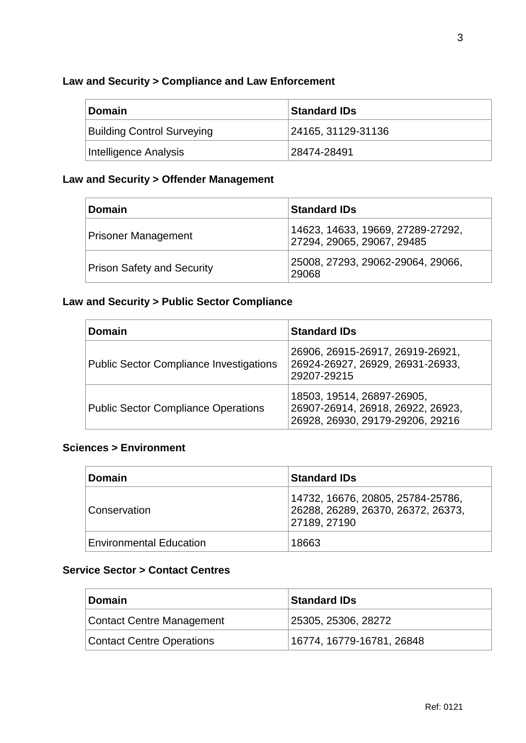## **Law and Security > Compliance and Law Enforcement**

| <b>Domain</b>                     | <b>Standard IDs</b> |
|-----------------------------------|---------------------|
| <b>Building Control Surveying</b> | 24165, 31129-31136  |
| Intelligence Analysis             | 28474-28491         |

## **Law and Security > Offender Management**

| <b>Domain</b>                     | <b>Standard IDs</b>                                             |
|-----------------------------------|-----------------------------------------------------------------|
| <b>Prisoner Management</b>        | 14623, 14633, 19669, 27289-27292,<br>27294, 29065, 29067, 29485 |
| <b>Prison Safety and Security</b> | 25008, 27293, 29062-29064, 29066,<br>29068                      |

## **Law and Security > Public Sector Compliance**

| <b>Domain</b>                                  | <b>Standard IDs</b>                                                                                 |
|------------------------------------------------|-----------------------------------------------------------------------------------------------------|
| <b>Public Sector Compliance Investigations</b> | 26906, 26915-26917, 26919-26921,<br>26924-26927, 26929, 26931-26933,<br>29207-29215                 |
| <b>Public Sector Compliance Operations</b>     | 18503, 19514, 26897-26905,<br>26907-26914, 26918, 26922, 26923,<br>26928, 26930, 29179-29206, 29216 |

## **Sciences > Environment**

| <b>Domain</b>                  | <b>Standard IDs</b>                                                                     |
|--------------------------------|-----------------------------------------------------------------------------------------|
| Conservation                   | 14732, 16676, 20805, 25784-25786,<br>26288, 26289, 26370, 26372, 26373,<br>27189, 27190 |
| <b>Environmental Education</b> | 18663                                                                                   |

## **Service Sector > Contact Centres**

| <b>Domain</b>                    | <b>Standard IDs</b>       |
|----------------------------------|---------------------------|
| Contact Centre Management        | 25305, 25306, 28272       |
| <b>Contact Centre Operations</b> | 16774, 16779-16781, 26848 |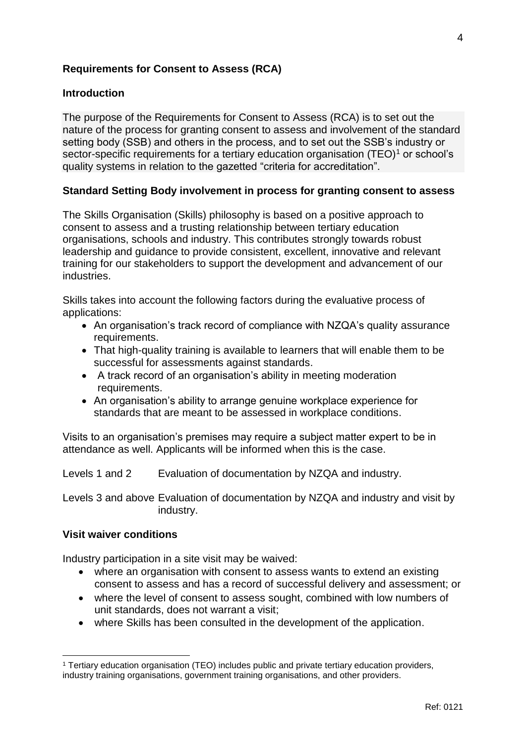## **Requirements for Consent to Assess (RCA)**

## **Introduction**

The purpose of the Requirements for Consent to Assess (RCA) is to set out the nature of the process for granting consent to assess and involvement of the standard setting body (SSB) and others in the process, and to set out the SSB's industry or sector-specific requirements for a tertiary education organisation  $(TEO)^1$  or school's quality systems in relation to the gazetted "criteria for accreditation".

### **Standard Setting Body involvement in process for granting consent to assess**

The Skills Organisation (Skills) philosophy is based on a positive approach to consent to assess and a trusting relationship between tertiary education organisations, schools and industry. This contributes strongly towards robust leadership and guidance to provide consistent, excellent, innovative and relevant training for our stakeholders to support the development and advancement of our industries.

Skills takes into account the following factors during the evaluative process of applications:

- An organisation's track record of compliance with NZQA's quality assurance requirements.
- That high-quality training is available to learners that will enable them to be successful for assessments against standards.
- A track record of an organisation's ability in meeting moderation requirements.
- An organisation's ability to arrange genuine workplace experience for standards that are meant to be assessed in workplace conditions.

Visits to an organisation's premises may require a subject matter expert to be in attendance as well. Applicants will be informed when this is the case.

Levels 1 and 2 Evaluation of documentation by NZQA and industry.

Levels 3 and above Evaluation of documentation by NZQA and industry and visit by industry.

### **Visit waiver conditions**

 $\overline{a}$ 

Industry participation in a site visit may be waived:

- where an organisation with consent to assess wants to extend an existing consent to assess and has a record of successful delivery and assessment; or
- where the level of consent to assess sought, combined with low numbers of unit standards, does not warrant a visit;
- where Skills has been consulted in the development of the application.

<sup>1</sup> Tertiary education organisation (TEO) includes public and private tertiary education providers, industry training organisations, government training organisations, and other providers.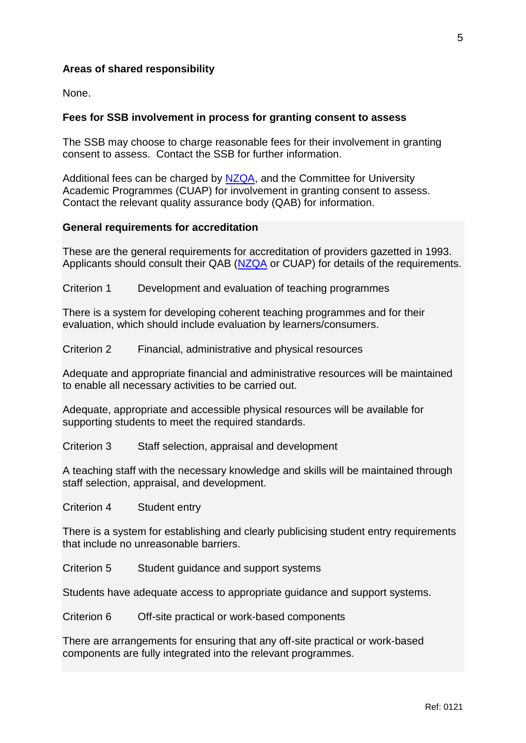## **Areas of shared responsibility**

None.

## **Fees for SSB involvement in process for granting consent to assess**

The SSB may choose to charge reasonable fees for their involvement in granting consent to assess. Contact the SSB for further information.

Additional fees can be charged by [NZQA,](http://www.nzqa.govt.nz/providers-partners/approval-accreditation-and-registration/consent-to-assess/fees-schedule-for-standard-setting-body-involvement-in-the-consent-to-assess-process/) and the Committee for University Academic Programmes (CUAP) for involvement in granting consent to assess. Contact the relevant quality assurance body (QAB) for information.

### **General requirements for accreditation**

These are the general requirements for accreditation of providers gazetted in 1993. Applicants should consult their QAB [\(NZQA](http://www.nzqa.govt.nz/providers-partners/approval-accreditation-and-registration/consent-to-assess/apply-for-consent-to-assess/) or CUAP) for details of the requirements.

Criterion 1 Development and evaluation of teaching programmes

There is a system for developing coherent teaching programmes and for their evaluation, which should include evaluation by learners/consumers.

Criterion 2 Financial, administrative and physical resources

Adequate and appropriate financial and administrative resources will be maintained to enable all necessary activities to be carried out.

Adequate, appropriate and accessible physical resources will be available for supporting students to meet the required standards.

Criterion 3 Staff selection, appraisal and development

A teaching staff with the necessary knowledge and skills will be maintained through staff selection, appraisal, and development.

Criterion 4 Student entry

There is a system for establishing and clearly publicising student entry requirements that include no unreasonable barriers.

Criterion 5 Student guidance and support systems

Students have adequate access to appropriate guidance and support systems.

Criterion 6 Off-site practical or work-based components

There are arrangements for ensuring that any off-site practical or work-based components are fully integrated into the relevant programmes.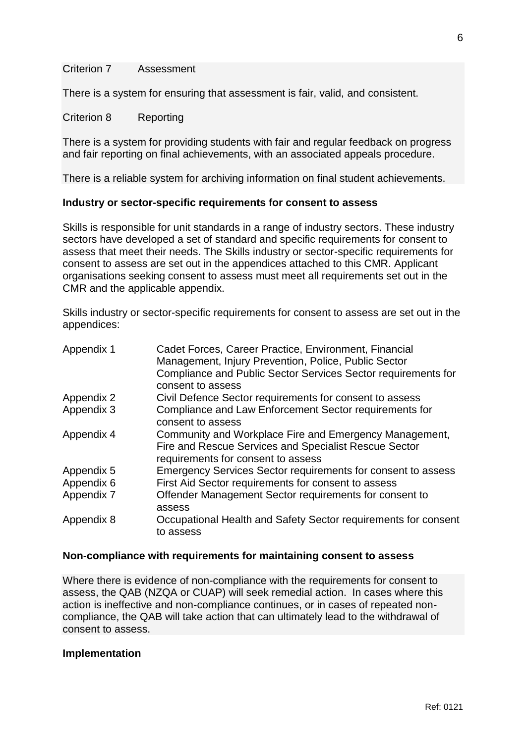#### Criterion 7 Assessment

There is a system for ensuring that assessment is fair, valid, and consistent.

#### Criterion 8 Reporting

There is a system for providing students with fair and regular feedback on progress and fair reporting on final achievements, with an associated appeals procedure.

There is a reliable system for archiving information on final student achievements.

#### **Industry or sector-specific requirements for consent to assess**

Skills is responsible for unit standards in a range of industry sectors. These industry sectors have developed a set of standard and specific requirements for consent to assess that meet their needs. The Skills industry or sector-specific requirements for consent to assess are set out in the appendices attached to this CMR. Applicant organisations seeking consent to assess must meet all requirements set out in the CMR and the applicable appendix.

Skills industry or sector-specific requirements for consent to assess are set out in the appendices:

| Appendix 1 | Cadet Forces, Career Practice, Environment, Financial<br>Management, Injury Prevention, Police, Public Sector<br>Compliance and Public Sector Services Sector requirements for<br>consent to assess |
|------------|-----------------------------------------------------------------------------------------------------------------------------------------------------------------------------------------------------|
| Appendix 2 | Civil Defence Sector requirements for consent to assess                                                                                                                                             |
| Appendix 3 | Compliance and Law Enforcement Sector requirements for<br>consent to assess                                                                                                                         |
| Appendix 4 | Community and Workplace Fire and Emergency Management,<br>Fire and Rescue Services and Specialist Rescue Sector<br>requirements for consent to assess                                               |
| Appendix 5 | Emergency Services Sector requirements for consent to assess                                                                                                                                        |
| Appendix 6 | First Aid Sector requirements for consent to assess                                                                                                                                                 |
| Appendix 7 | Offender Management Sector requirements for consent to<br>assess                                                                                                                                    |
| Appendix 8 | Occupational Health and Safety Sector requirements for consent<br>to assess                                                                                                                         |

#### **Non-compliance with requirements for maintaining consent to assess**

Where there is evidence of non-compliance with the requirements for consent to assess, the QAB (NZQA or CUAP) will seek remedial action. In cases where this action is ineffective and non-compliance continues, or in cases of repeated noncompliance, the QAB will take action that can ultimately lead to the withdrawal of consent to assess.

#### **Implementation**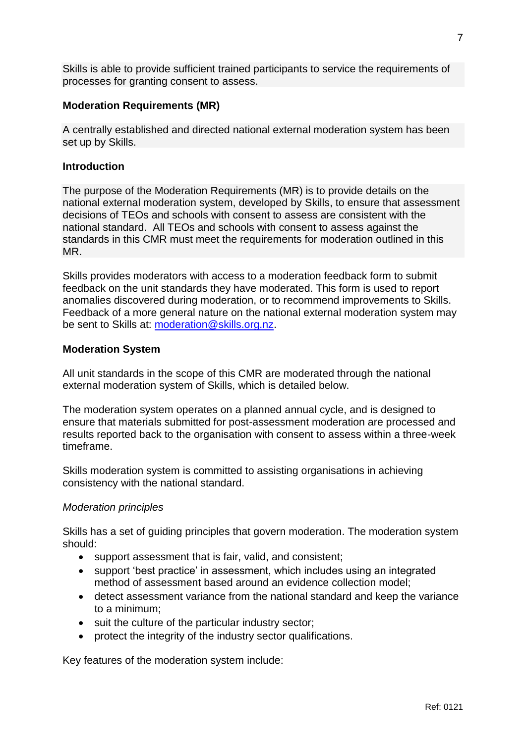Skills is able to provide sufficient trained participants to service the requirements of processes for granting consent to assess.

## **Moderation Requirements (MR)**

A centrally established and directed national external moderation system has been set up by Skills.

### **Introduction**

The purpose of the Moderation Requirements (MR) is to provide details on the national external moderation system, developed by Skills, to ensure that assessment decisions of TEOs and schools with consent to assess are consistent with the national standard. All TEOs and schools with consent to assess against the standards in this CMR must meet the requirements for moderation outlined in this MR.

Skills provides moderators with access to a moderation feedback form to submit feedback on the unit standards they have moderated. This form is used to report anomalies discovered during moderation, or to recommend improvements to Skills. Feedback of a more general nature on the national external moderation system may be sent to Skills at: [moderation@skills.org.nz.](mailto:moderation@skills.org.nz)

## **Moderation System**

All unit standards in the scope of this CMR are moderated through the national external moderation system of Skills, which is detailed below.

The moderation system operates on a planned annual cycle, and is designed to ensure that materials submitted for post-assessment moderation are processed and results reported back to the organisation with consent to assess within a three-week timeframe.

Skills moderation system is committed to assisting organisations in achieving consistency with the national standard.

### *Moderation principles*

Skills has a set of guiding principles that govern moderation. The moderation system should:

- support assessment that is fair, valid, and consistent;
- support 'best practice' in assessment, which includes using an integrated method of assessment based around an evidence collection model;
- detect assessment variance from the national standard and keep the variance to a minimum;
- suit the culture of the particular industry sector;
- protect the integrity of the industry sector qualifications.

Key features of the moderation system include: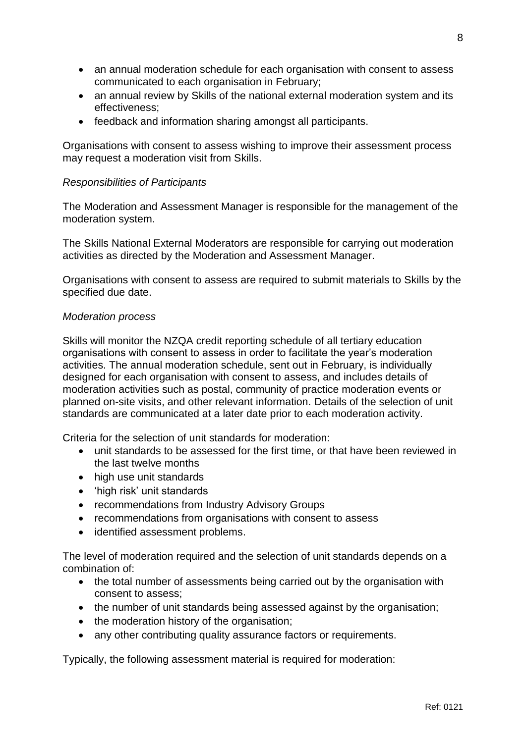- an annual moderation schedule for each organisation with consent to assess communicated to each organisation in February;
- an annual review by Skills of the national external moderation system and its effectiveness;
- feedback and information sharing amongst all participants.

Organisations with consent to assess wishing to improve their assessment process may request a moderation visit from Skills.

## *Responsibilities of Participants*

The Moderation and Assessment Manager is responsible for the management of the moderation system.

The Skills National External Moderators are responsible for carrying out moderation activities as directed by the Moderation and Assessment Manager.

Organisations with consent to assess are required to submit materials to Skills by the specified due date.

## *Moderation process*

Skills will monitor the NZQA credit reporting schedule of all tertiary education organisations with consent to assess in order to facilitate the year's moderation activities. The annual moderation schedule, sent out in February, is individually designed for each organisation with consent to assess, and includes details of moderation activities such as postal, community of practice moderation events or planned on-site visits, and other relevant information. Details of the selection of unit standards are communicated at a later date prior to each moderation activity.

Criteria for the selection of unit standards for moderation:

- unit standards to be assessed for the first time, or that have been reviewed in the last twelve months
- high use unit standards
- 'high risk' unit standards
- recommendations from Industry Advisory Groups
- recommendations from organisations with consent to assess
- identified assessment problems.

The level of moderation required and the selection of unit standards depends on a combination of:

- the total number of assessments being carried out by the organisation with consent to assess;
- the number of unit standards being assessed against by the organisation;
- the moderation history of the organisation;
- any other contributing quality assurance factors or requirements.

Typically, the following assessment material is required for moderation: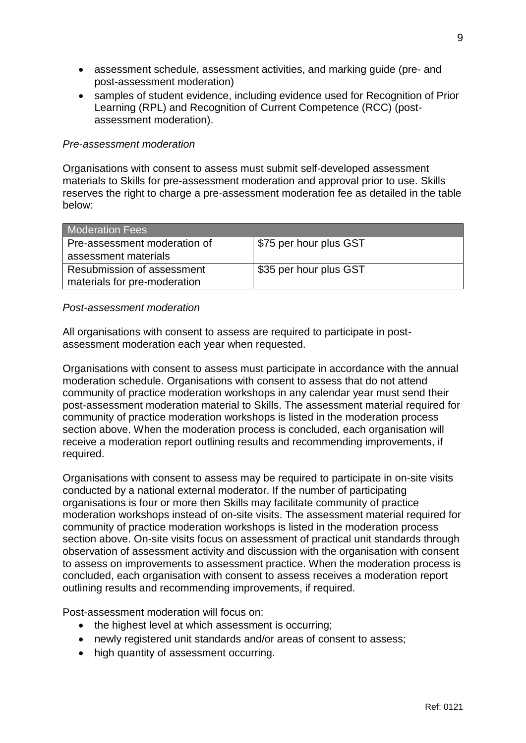- assessment schedule, assessment activities, and marking guide (pre- and post-assessment moderation)
- samples of student evidence, including evidence used for Recognition of Prior Learning (RPL) and Recognition of Current Competence (RCC) (postassessment moderation).

## *Pre-assessment moderation*

Organisations with consent to assess must submit self-developed assessment materials to Skills for pre-assessment moderation and approval prior to use. Skills reserves the right to charge a pre-assessment moderation fee as detailed in the table below:

| <b>Moderation Fees</b>                                     |                        |
|------------------------------------------------------------|------------------------|
| Pre-assessment moderation of<br>assessment materials       | S75 per hour plus GST  |
| Resubmission of assessment<br>materials for pre-moderation | \$35 per hour plus GST |

## *Post-assessment moderation*

All organisations with consent to assess are required to participate in postassessment moderation each year when requested.

Organisations with consent to assess must participate in accordance with the annual moderation schedule. Organisations with consent to assess that do not attend community of practice moderation workshops in any calendar year must send their post-assessment moderation material to Skills. The assessment material required for community of practice moderation workshops is listed in the moderation process section above. When the moderation process is concluded, each organisation will receive a moderation report outlining results and recommending improvements, if required.

Organisations with consent to assess may be required to participate in on-site visits conducted by a national external moderator. If the number of participating organisations is four or more then Skills may facilitate community of practice moderation workshops instead of on-site visits. The assessment material required for community of practice moderation workshops is listed in the moderation process section above. On-site visits focus on assessment of practical unit standards through observation of assessment activity and discussion with the organisation with consent to assess on improvements to assessment practice. When the moderation process is concluded, each organisation with consent to assess receives a moderation report outlining results and recommending improvements, if required.

Post-assessment moderation will focus on:

- the highest level at which assessment is occurring;
- newly registered unit standards and/or areas of consent to assess;
- high quantity of assessment occurring.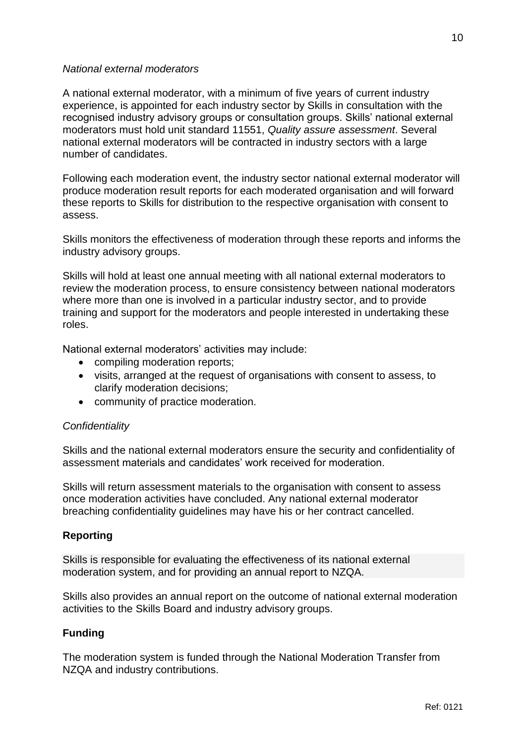## *National external moderators*

A national external moderator, with a minimum of five years of current industry experience, is appointed for each industry sector by Skills in consultation with the recognised industry advisory groups or consultation groups. Skills' national external moderators must hold unit standard 11551, *Quality assure assessment*. Several national external moderators will be contracted in industry sectors with a large number of candidates.

Following each moderation event, the industry sector national external moderator will produce moderation result reports for each moderated organisation and will forward these reports to Skills for distribution to the respective organisation with consent to assess.

Skills monitors the effectiveness of moderation through these reports and informs the industry advisory groups.

Skills will hold at least one annual meeting with all national external moderators to review the moderation process, to ensure consistency between national moderators where more than one is involved in a particular industry sector, and to provide training and support for the moderators and people interested in undertaking these roles.

National external moderators' activities may include:

- compiling moderation reports;
- visits, arranged at the request of organisations with consent to assess, to clarify moderation decisions;
- community of practice moderation.

## *Confidentiality*

Skills and the national external moderators ensure the security and confidentiality of assessment materials and candidates' work received for moderation.

Skills will return assessment materials to the organisation with consent to assess once moderation activities have concluded. Any national external moderator breaching confidentiality guidelines may have his or her contract cancelled.

## **Reporting**

Skills is responsible for evaluating the effectiveness of its national external moderation system, and for providing an annual report to NZQA.

Skills also provides an annual report on the outcome of national external moderation activities to the Skills Board and industry advisory groups.

## **Funding**

The moderation system is funded through the National Moderation Transfer from NZQA and industry contributions.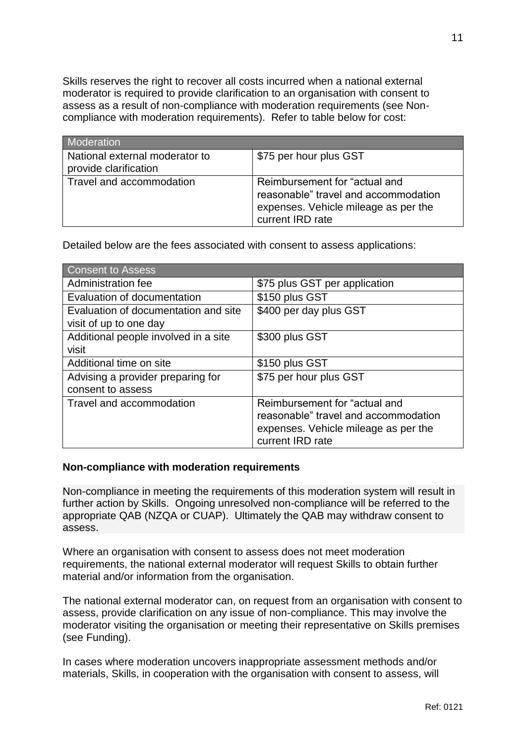Skills reserves the right to recover all costs incurred when a national external moderator is required to provide clarification to an organisation with consent to assess as a result of non-compliance with moderation requirements (see Noncompliance with moderation requirements). Refer to table below for cost:

| <b>Moderation</b>                                       |                                                                                                                                   |
|---------------------------------------------------------|-----------------------------------------------------------------------------------------------------------------------------------|
| National external moderator to<br>provide clarification | \$75 per hour plus GST                                                                                                            |
| Travel and accommodation                                | Reimbursement for "actual and<br>reasonable" travel and accommodation<br>expenses. Vehicle mileage as per the<br>current IRD rate |

Detailed below are the fees associated with consent to assess applications:

| Consent to Assess                    |                                      |
|--------------------------------------|--------------------------------------|
| Administration fee                   | \$75 plus GST per application        |
| Evaluation of documentation          | \$150 plus GST                       |
| Evaluation of documentation and site | \$400 per day plus GST               |
| visit of up to one day               |                                      |
| Additional people involved in a site | \$300 plus GST                       |
| visit                                |                                      |
| Additional time on site              | \$150 plus GST                       |
| Advising a provider preparing for    | \$75 per hour plus GST               |
| consent to assess                    |                                      |
| Travel and accommodation             | Reimbursement for "actual and        |
|                                      | reasonable" travel and accommodation |
|                                      | expenses. Vehicle mileage as per the |
|                                      | current IRD rate                     |

### **Non-compliance with moderation requirements**

Non-compliance in meeting the requirements of this moderation system will result in further action by Skills. Ongoing unresolved non-compliance will be referred to the appropriate QAB (NZQA or CUAP). Ultimately the QAB may withdraw consent to assess.

Where an organisation with consent to assess does not meet moderation requirements, the national external moderator will request Skills to obtain further material and/or information from the organisation.

The national external moderator can, on request from an organisation with consent to assess, provide clarification on any issue of non-compliance. This may involve the moderator visiting the organisation or meeting their representative on Skills premises (see Funding).

In cases where moderation uncovers inappropriate assessment methods and/or materials, Skills, in cooperation with the organisation with consent to assess, will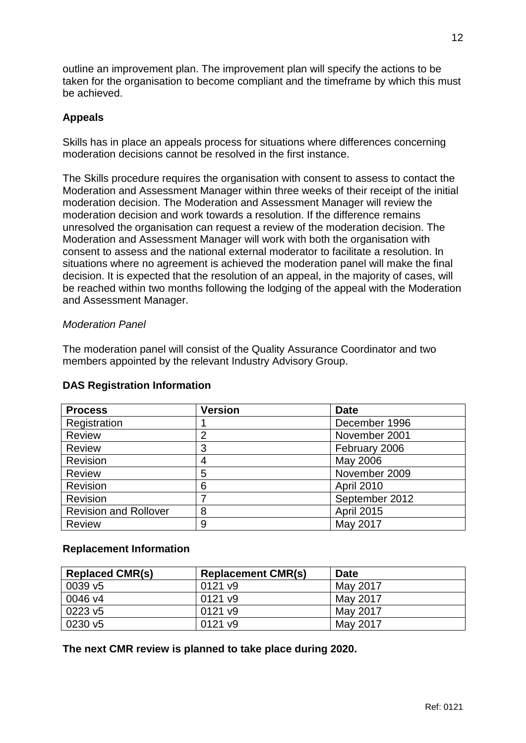outline an improvement plan. The improvement plan will specify the actions to be taken for the organisation to become compliant and the timeframe by which this must be achieved.

## **Appeals**

Skills has in place an appeals process for situations where differences concerning moderation decisions cannot be resolved in the first instance.

The Skills procedure requires the organisation with consent to assess to contact the Moderation and Assessment Manager within three weeks of their receipt of the initial moderation decision. The Moderation and Assessment Manager will review the moderation decision and work towards a resolution. If the difference remains unresolved the organisation can request a review of the moderation decision. The Moderation and Assessment Manager will work with both the organisation with consent to assess and the national external moderator to facilitate a resolution. In situations where no agreement is achieved the moderation panel will make the final decision. It is expected that the resolution of an appeal, in the majority of cases, will be reached within two months following the lodging of the appeal with the Moderation and Assessment Manager.

## *Moderation Panel*

The moderation panel will consist of the Quality Assurance Coordinator and two members appointed by the relevant Industry Advisory Group.

| <b>Process</b>               | <b>Version</b> | <b>Date</b>       |
|------------------------------|----------------|-------------------|
| Registration                 |                | December 1996     |
| Review                       | $\overline{2}$ | November 2001     |
| <b>Review</b>                | 3              | February 2006     |
| Revision                     | 4              | May 2006          |
| Review                       | 5              | November 2009     |
| Revision                     | 6              | April 2010        |
| Revision                     |                | September 2012    |
| <b>Revision and Rollover</b> | 8              | <b>April 2015</b> |
| <b>Review</b>                | 9              | May 2017          |

## **DAS Registration Information**

## **Replacement Information**

| <b>Replaced CMR(s)</b> | <b>Replacement CMR(s)</b> | <b>Date</b> |
|------------------------|---------------------------|-------------|
| 0039 v <sub>5</sub>    | 0121 v9                   | May 2017    |
| 0046 v4                | 0121 v9                   | May 2017    |
| 0223 v5                | 0121 v9                   | May 2017    |
| 0230 v5                | 0121 v9                   | May 2017    |

**The next CMR review is planned to take place during 2020.**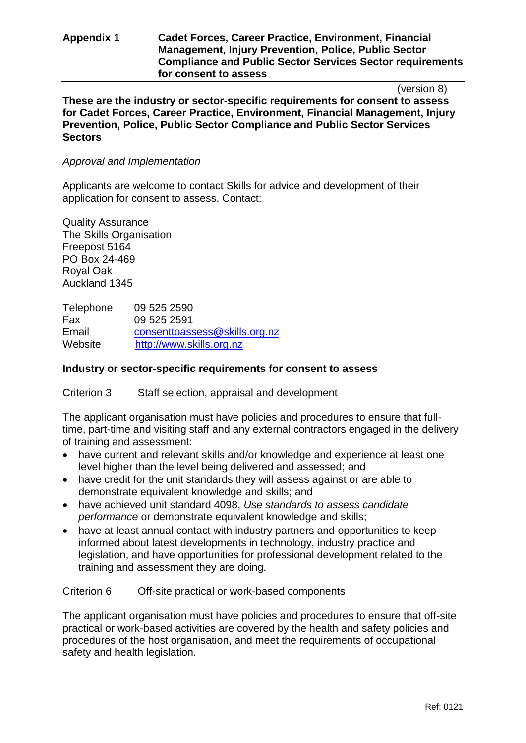## **Appendix 1 Cadet Forces, Career Practice, Environment, Financial Management, Injury Prevention, Police, Public Sector Compliance and Public Sector Services Sector requirements for consent to assess**

(version 8)

**These are the industry or sector-specific requirements for consent to assess for Cadet Forces, Career Practice, Environment, Financial Management, Injury Prevention, Police, Public Sector Compliance and Public Sector Services Sectors** 

## *Approval and Implementation*

Applicants are welcome to contact Skills for advice and development of their application for consent to assess. Contact:

Quality Assurance The Skills Organisation Freepost 5164 PO Box 24-469 Royal Oak Auckland 1345

Telephone 09 525 2590 Fax 09 525 2591 Email [consenttoassess@skills.org.nz](mailto:consenttoassess@skills.org.nz) Website [http://www.skills.org.nz](http://www.skills.org.nz/)

## **Industry or sector-specific requirements for consent to assess**

Criterion 3 Staff selection, appraisal and development

The applicant organisation must have policies and procedures to ensure that fulltime, part-time and visiting staff and any external contractors engaged in the delivery of training and assessment:

- have current and relevant skills and/or knowledge and experience at least one level higher than the level being delivered and assessed; and
- have credit for the unit standards they will assess against or are able to demonstrate equivalent knowledge and skills; and
- have achieved unit standard 4098, *Use standards to assess candidate performance* or demonstrate equivalent knowledge and skills:
- have at least annual contact with industry partners and opportunities to keep informed about latest developments in technology, industry practice and legislation, and have opportunities for professional development related to the training and assessment they are doing.

### Criterion 6 Off-site practical or work-based components

The applicant organisation must have policies and procedures to ensure that off-site practical or work-based activities are covered by the health and safety policies and procedures of the host organisation, and meet the requirements of occupational safety and health legislation.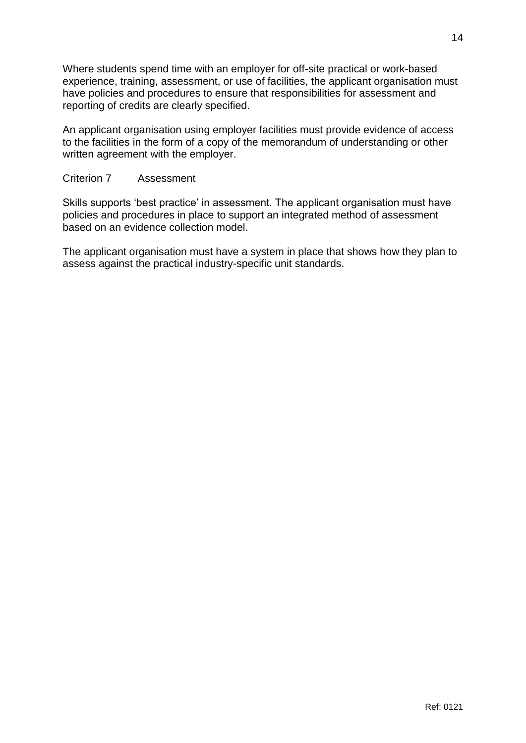Where students spend time with an employer for off-site practical or work-based experience, training, assessment, or use of facilities, the applicant organisation must have policies and procedures to ensure that responsibilities for assessment and reporting of credits are clearly specified.

An applicant organisation using employer facilities must provide evidence of access to the facilities in the form of a copy of the memorandum of understanding or other written agreement with the employer.

## Criterion 7 Assessment

Skills supports 'best practice' in assessment. The applicant organisation must have policies and procedures in place to support an integrated method of assessment based on an evidence collection model.

The applicant organisation must have a system in place that shows how they plan to assess against the practical industry-specific unit standards.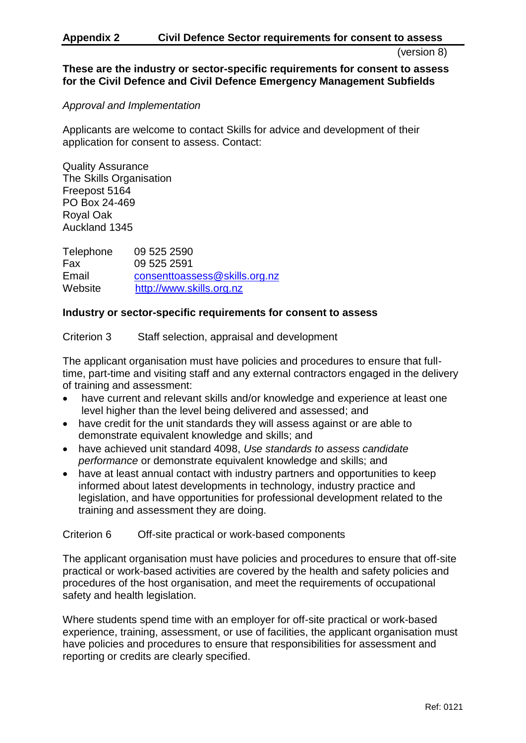### **Appendix 2 Civil Defence Sector requirements for consent to assess**

(version 8)

## **These are the industry or sector-specific requirements for consent to assess for the Civil Defence and Civil Defence Emergency Management Subfields**

## *Approval and Implementation*

Applicants are welcome to contact Skills for advice and development of their application for consent to assess. Contact:

Quality Assurance The Skills Organisation Freepost 5164 PO Box 24-469 Royal Oak Auckland 1345

Telephone 09 525 2590 Fax 09 525 2591 Email [consenttoassess@skills.org.nz](mailto:consenttoassess@skills.org.nz) Website [http://www.skills.org.nz](http://www.skills.org.nz/)

## **Industry or sector-specific requirements for consent to assess**

Criterion 3 Staff selection, appraisal and development

The applicant organisation must have policies and procedures to ensure that fulltime, part-time and visiting staff and any external contractors engaged in the delivery of training and assessment:

- have current and relevant skills and/or knowledge and experience at least one level higher than the level being delivered and assessed; and
- have credit for the unit standards they will assess against or are able to demonstrate equivalent knowledge and skills; and
- have achieved unit standard 4098, *Use standards to assess candidate performance* or demonstrate equivalent knowledge and skills; and
- have at least annual contact with industry partners and opportunities to keep informed about latest developments in technology, industry practice and legislation, and have opportunities for professional development related to the training and assessment they are doing.

### Criterion 6 Off-site practical or work-based components

The applicant organisation must have policies and procedures to ensure that off-site practical or work-based activities are covered by the health and safety policies and procedures of the host organisation, and meet the requirements of occupational safety and health legislation.

Where students spend time with an employer for off-site practical or work-based experience, training, assessment, or use of facilities, the applicant organisation must have policies and procedures to ensure that responsibilities for assessment and reporting or credits are clearly specified.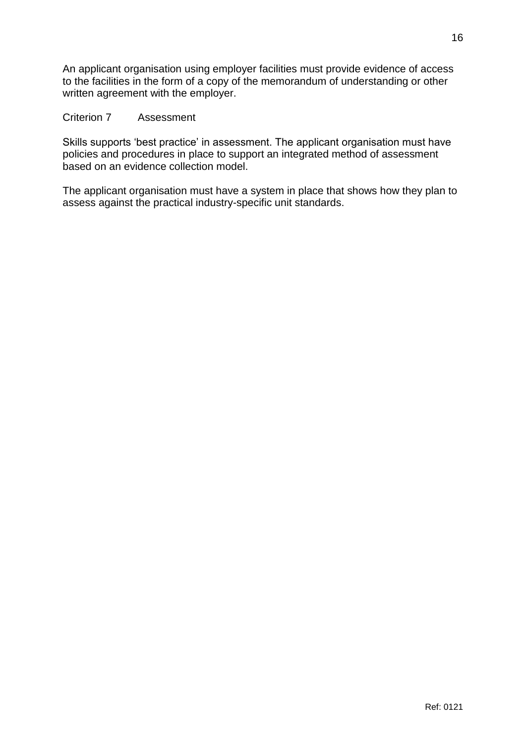An applicant organisation using employer facilities must provide evidence of access to the facilities in the form of a copy of the memorandum of understanding or other written agreement with the employer.

## Criterion 7 Assessment

Skills supports 'best practice' in assessment. The applicant organisation must have policies and procedures in place to support an integrated method of assessment based on an evidence collection model.

The applicant organisation must have a system in place that shows how they plan to assess against the practical industry-specific unit standards.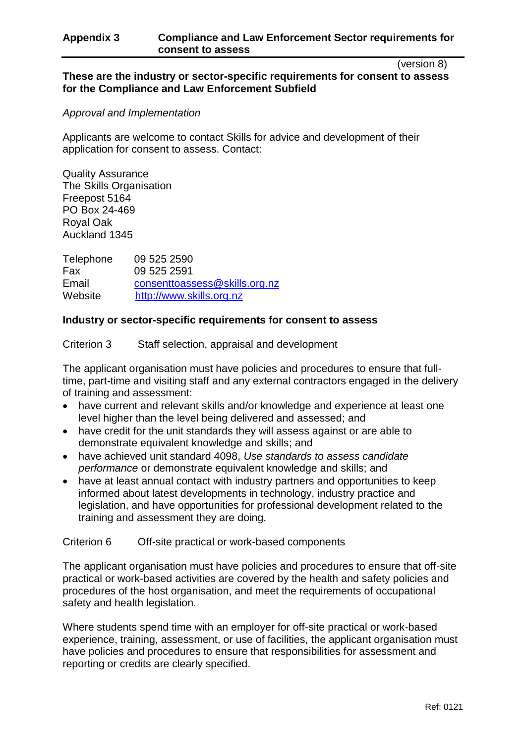## **Appendix 3 Compliance and Law Enforcement Sector requirements for consent to assess**

(version 8)

## **These are the industry or sector-specific requirements for consent to assess for the Compliance and Law Enforcement Subfield**

## *Approval and Implementation*

Applicants are welcome to contact Skills for advice and development of their application for consent to assess. Contact:

Quality Assurance The Skills Organisation Freepost 5164 PO Box 24-469 Royal Oak Auckland 1345

Telephone 09 525 2590 Fax 09 525 2591 Email [consenttoassess@skills.org.nz](mailto:consenttoassess@skills.org.nz) Website [http://www.skills.org.nz](http://www.skills.org.nz/)

## **Industry or sector-specific requirements for consent to assess**

Criterion 3 Staff selection, appraisal and development

The applicant organisation must have policies and procedures to ensure that fulltime, part-time and visiting staff and any external contractors engaged in the delivery of training and assessment:

- have current and relevant skills and/or knowledge and experience at least one level higher than the level being delivered and assessed; and
- have credit for the unit standards they will assess against or are able to demonstrate equivalent knowledge and skills; and
- have achieved unit standard 4098, *Use standards to assess candidate performance* or demonstrate equivalent knowledge and skills; and
- have at least annual contact with industry partners and opportunities to keep informed about latest developments in technology, industry practice and legislation, and have opportunities for professional development related to the training and assessment they are doing.

Criterion 6 Off-site practical or work-based components

The applicant organisation must have policies and procedures to ensure that off-site practical or work-based activities are covered by the health and safety policies and procedures of the host organisation, and meet the requirements of occupational safety and health legislation.

Where students spend time with an employer for off-site practical or work-based experience, training, assessment, or use of facilities, the applicant organisation must have policies and procedures to ensure that responsibilities for assessment and reporting or credits are clearly specified.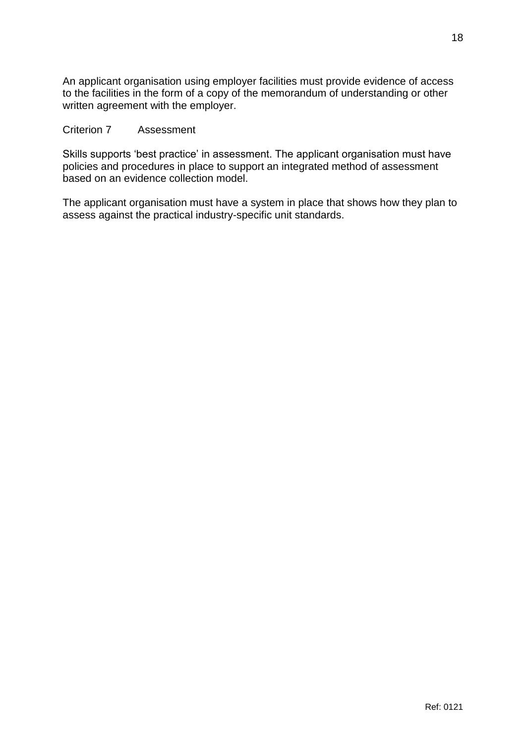An applicant organisation using employer facilities must provide evidence of access to the facilities in the form of a copy of the memorandum of understanding or other written agreement with the employer.

### Criterion 7 Assessment

Skills supports 'best practice' in assessment. The applicant organisation must have policies and procedures in place to support an integrated method of assessment based on an evidence collection model.

The applicant organisation must have a system in place that shows how they plan to assess against the practical industry-specific unit standards.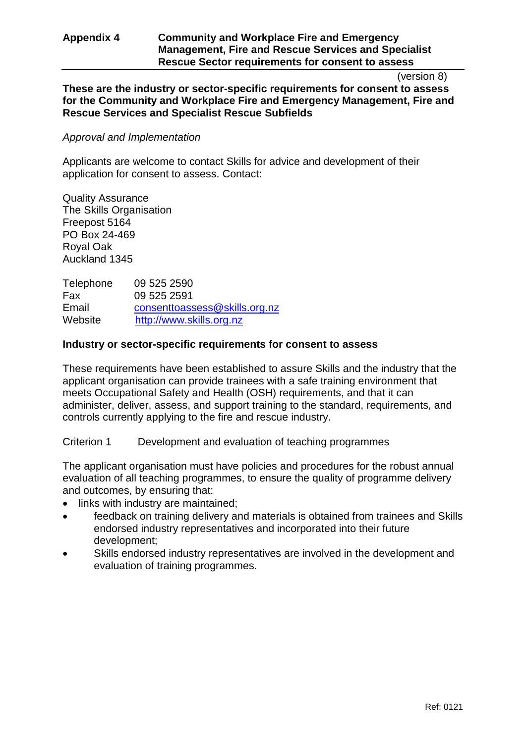## **Appendix 4 Community and Workplace Fire and Emergency Management, Fire and Rescue Services and Specialist Rescue Sector requirements for consent to assess**

#### (version 8)

**These are the industry or sector-specific requirements for consent to assess for the Community and Workplace Fire and Emergency Management, Fire and Rescue Services and Specialist Rescue Subfields**

### *Approval and Implementation*

Applicants are welcome to contact Skills for advice and development of their application for consent to assess. Contact:

Quality Assurance The Skills Organisation Freepost 5164 PO Box 24-469 Royal Oak Auckland 1345

Telephone 09 525 2590 Fax 09 525 2591 Email [consenttoassess@skills.org.nz](mailto:consenttoassess@skills.org.nz) Website [http://www.skills.org.nz](http://www.skills.org.nz/)

## **Industry or sector-specific requirements for consent to assess**

These requirements have been established to assure Skills and the industry that the applicant organisation can provide trainees with a safe training environment that meets Occupational Safety and Health (OSH) requirements, and that it can administer, deliver, assess, and support training to the standard, requirements, and controls currently applying to the fire and rescue industry.

Criterion 1 Development and evaluation of teaching programmes

The applicant organisation must have policies and procedures for the robust annual evaluation of all teaching programmes, to ensure the quality of programme delivery and outcomes, by ensuring that:

- links with industry are maintained;
- feedback on training delivery and materials is obtained from trainees and Skills endorsed industry representatives and incorporated into their future development;
- Skills endorsed industry representatives are involved in the development and evaluation of training programmes.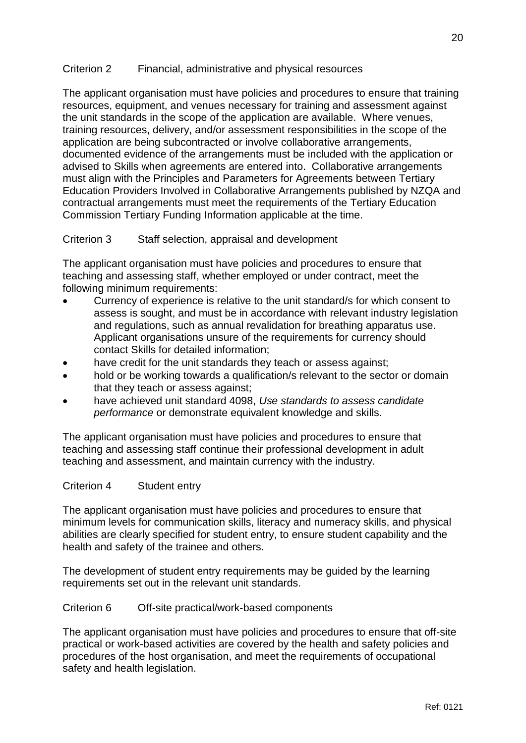## Criterion 2 Financial, administrative and physical resources

The applicant organisation must have policies and procedures to ensure that training resources, equipment, and venues necessary for training and assessment against the unit standards in the scope of the application are available. Where venues, training resources, delivery, and/or assessment responsibilities in the scope of the application are being subcontracted or involve collaborative arrangements, documented evidence of the arrangements must be included with the application or advised to Skills when agreements are entered into. Collaborative arrangements must align with the Principles and Parameters for Agreements between Tertiary Education Providers Involved in Collaborative Arrangements published by NZQA and contractual arrangements must meet the requirements of the Tertiary Education Commission Tertiary Funding Information applicable at the time.

## Criterion 3 Staff selection, appraisal and development

The applicant organisation must have policies and procedures to ensure that teaching and assessing staff, whether employed or under contract, meet the following minimum requirements:

- Currency of experience is relative to the unit standard/s for which consent to assess is sought, and must be in accordance with relevant industry legislation and regulations, such as annual revalidation for breathing apparatus use. Applicant organisations unsure of the requirements for currency should contact Skills for detailed information;
- have credit for the unit standards they teach or assess against;
- hold or be working towards a qualification/s relevant to the sector or domain that they teach or assess against;
- have achieved unit standard 4098, *Use standards to assess candidate performance* or demonstrate equivalent knowledge and skills.

The applicant organisation must have policies and procedures to ensure that teaching and assessing staff continue their professional development in adult teaching and assessment, and maintain currency with the industry.

## Criterion 4 Student entry

The applicant organisation must have policies and procedures to ensure that minimum levels for communication skills, literacy and numeracy skills, and physical abilities are clearly specified for student entry, to ensure student capability and the health and safety of the trainee and others.

The development of student entry requirements may be guided by the learning requirements set out in the relevant unit standards.

### Criterion 6 Off-site practical/work-based components

The applicant organisation must have policies and procedures to ensure that off-site practical or work-based activities are covered by the health and safety policies and procedures of the host organisation, and meet the requirements of occupational safety and health legislation.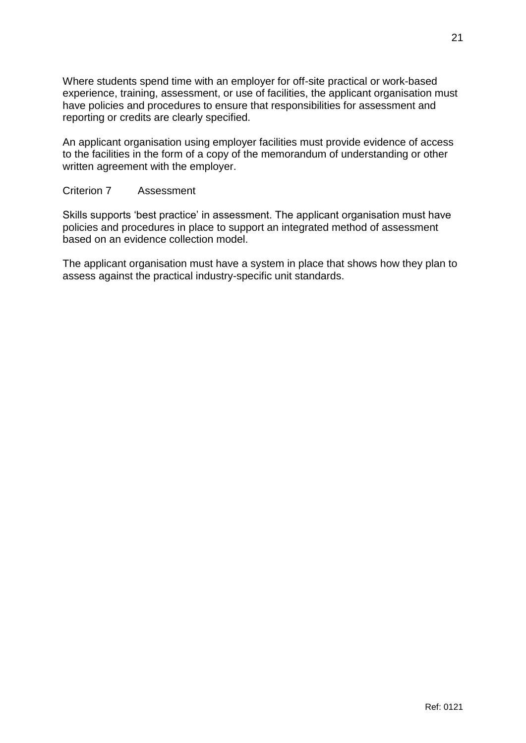Where students spend time with an employer for off-site practical or work-based experience, training, assessment, or use of facilities, the applicant organisation must have policies and procedures to ensure that responsibilities for assessment and reporting or credits are clearly specified.

An applicant organisation using employer facilities must provide evidence of access to the facilities in the form of a copy of the memorandum of understanding or other written agreement with the employer.

## Criterion 7 Assessment

Skills supports 'best practice' in assessment. The applicant organisation must have policies and procedures in place to support an integrated method of assessment based on an evidence collection model.

The applicant organisation must have a system in place that shows how they plan to assess against the practical industry-specific unit standards.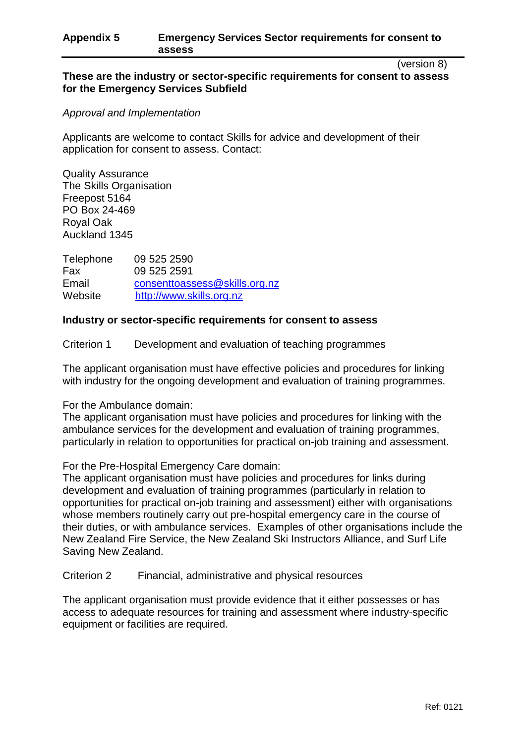### **Appendix 5 Emergency Services Sector requirements for consent to assess**

(version 8)

## **These are the industry or sector-specific requirements for consent to assess for the Emergency Services Subfield**

## *Approval and Implementation*

Applicants are welcome to contact Skills for advice and development of their application for consent to assess. Contact:

Quality Assurance The Skills Organisation Freepost 5164 PO Box 24-469 Royal Oak Auckland 1345

Telephone 09 525 2590 Fax 09 525 2591 Email [consenttoassess@skills.org.nz](mailto:consenttoassess@skills.org.nz) Website [http://www.skills.org.nz](http://www.skills.org.nz/)

## **Industry or sector-specific requirements for consent to assess**

Criterion 1 Development and evaluation of teaching programmes

The applicant organisation must have effective policies and procedures for linking with industry for the ongoing development and evaluation of training programmes.

### For the Ambulance domain:

The applicant organisation must have policies and procedures for linking with the ambulance services for the development and evaluation of training programmes, particularly in relation to opportunities for practical on-job training and assessment.

For the Pre-Hospital Emergency Care domain:

The applicant organisation must have policies and procedures for links during development and evaluation of training programmes (particularly in relation to opportunities for practical on-job training and assessment) either with organisations whose members routinely carry out pre-hospital emergency care in the course of their duties, or with ambulance services. Examples of other organisations include the New Zealand Fire Service, the New Zealand Ski Instructors Alliance, and Surf Life Saving New Zealand.

Criterion 2 Financial, administrative and physical resources

The applicant organisation must provide evidence that it either possesses or has access to adequate resources for training and assessment where industry-specific equipment or facilities are required.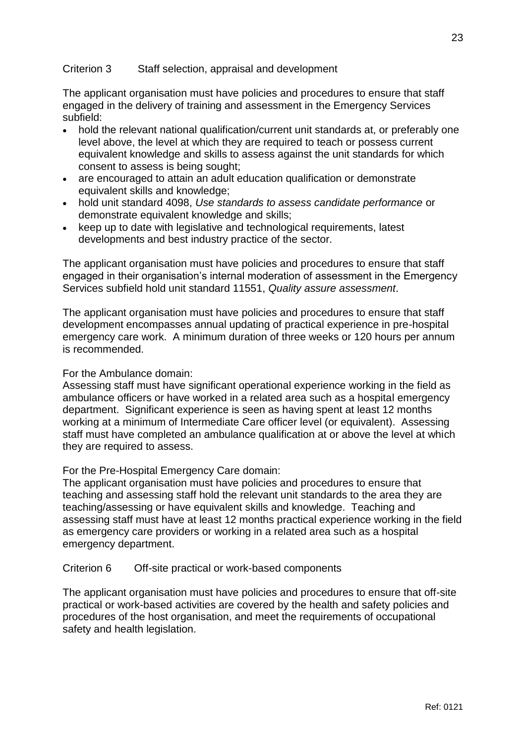## Criterion 3 Staff selection, appraisal and development

The applicant organisation must have policies and procedures to ensure that staff engaged in the delivery of training and assessment in the Emergency Services subfield:

- hold the relevant national qualification/current unit standards at, or preferably one level above, the level at which they are required to teach or possess current equivalent knowledge and skills to assess against the unit standards for which consent to assess is being sought;
- are encouraged to attain an adult education qualification or demonstrate equivalent skills and knowledge;
- hold unit standard 4098, *Use standards to assess candidate performance* or demonstrate equivalent knowledge and skills;
- keep up to date with legislative and technological requirements, latest developments and best industry practice of the sector.

The applicant organisation must have policies and procedures to ensure that staff engaged in their organisation's internal moderation of assessment in the Emergency Services subfield hold unit standard 11551, *Quality assure assessment*.

The applicant organisation must have policies and procedures to ensure that staff development encompasses annual updating of practical experience in pre-hospital emergency care work. A minimum duration of three weeks or 120 hours per annum is recommended.

For the Ambulance domain:

Assessing staff must have significant operational experience working in the field as ambulance officers or have worked in a related area such as a hospital emergency department. Significant experience is seen as having spent at least 12 months working at a minimum of Intermediate Care officer level (or equivalent). Assessing staff must have completed an ambulance qualification at or above the level at which they are required to assess.

For the Pre-Hospital Emergency Care domain:

The applicant organisation must have policies and procedures to ensure that teaching and assessing staff hold the relevant unit standards to the area they are teaching/assessing or have equivalent skills and knowledge. Teaching and assessing staff must have at least 12 months practical experience working in the field as emergency care providers or working in a related area such as a hospital emergency department.

### Criterion 6 Off-site practical or work-based components

The applicant organisation must have policies and procedures to ensure that off-site practical or work-based activities are covered by the health and safety policies and procedures of the host organisation, and meet the requirements of occupational safety and health legislation.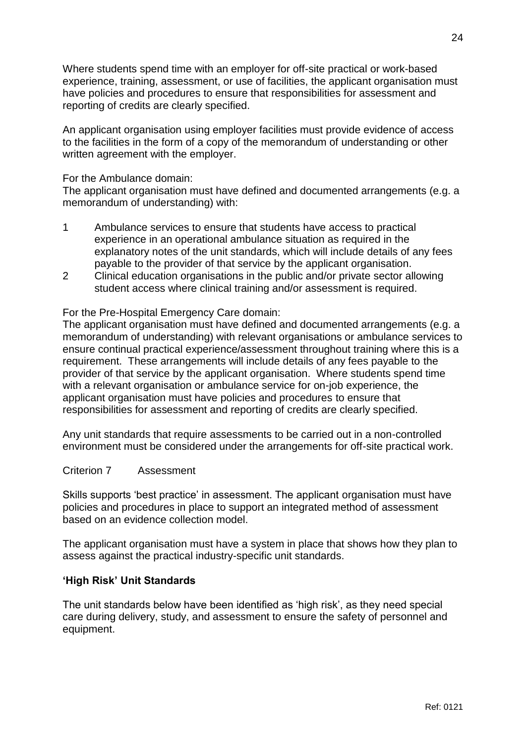Where students spend time with an employer for off-site practical or work-based experience, training, assessment, or use of facilities, the applicant organisation must have policies and procedures to ensure that responsibilities for assessment and reporting of credits are clearly specified.

An applicant organisation using employer facilities must provide evidence of access to the facilities in the form of a copy of the memorandum of understanding or other written agreement with the employer.

### For the Ambulance domain:

The applicant organisation must have defined and documented arrangements (e.g. a memorandum of understanding) with:

- 1 Ambulance services to ensure that students have access to practical experience in an operational ambulance situation as required in the explanatory notes of the unit standards, which will include details of any fees payable to the provider of that service by the applicant organisation.
- 2 Clinical education organisations in the public and/or private sector allowing student access where clinical training and/or assessment is required.

## For the Pre-Hospital Emergency Care domain:

The applicant organisation must have defined and documented arrangements (e.g. a memorandum of understanding) with relevant organisations or ambulance services to ensure continual practical experience/assessment throughout training where this is a requirement. These arrangements will include details of any fees payable to the provider of that service by the applicant organisation. Where students spend time with a relevant organisation or ambulance service for on-job experience, the applicant organisation must have policies and procedures to ensure that responsibilities for assessment and reporting of credits are clearly specified.

Any unit standards that require assessments to be carried out in a non-controlled environment must be considered under the arrangements for off-site practical work.

### Criterion 7 Assessment

Skills supports 'best practice' in assessment. The applicant organisation must have policies and procedures in place to support an integrated method of assessment based on an evidence collection model.

The applicant organisation must have a system in place that shows how they plan to assess against the practical industry-specific unit standards.

## **'High Risk' Unit Standards**

The unit standards below have been identified as 'high risk', as they need special care during delivery, study, and assessment to ensure the safety of personnel and equipment.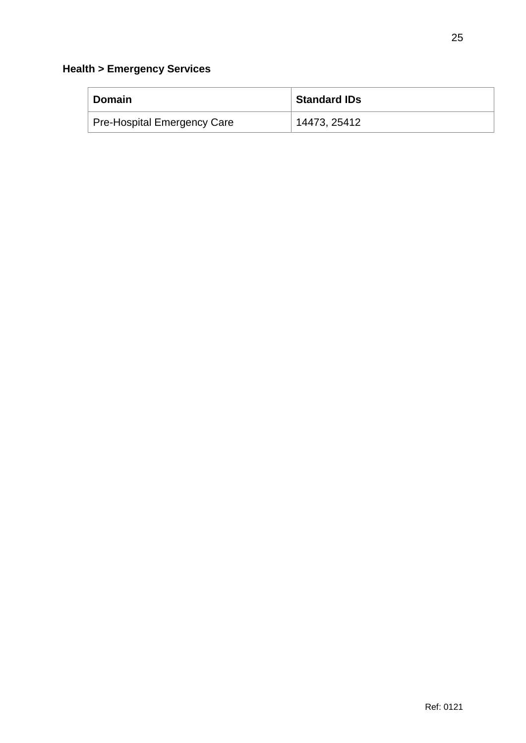| <b>Domain</b>                      | <b>Standard IDs</b> |
|------------------------------------|---------------------|
| <b>Pre-Hospital Emergency Care</b> | 14473, 25412        |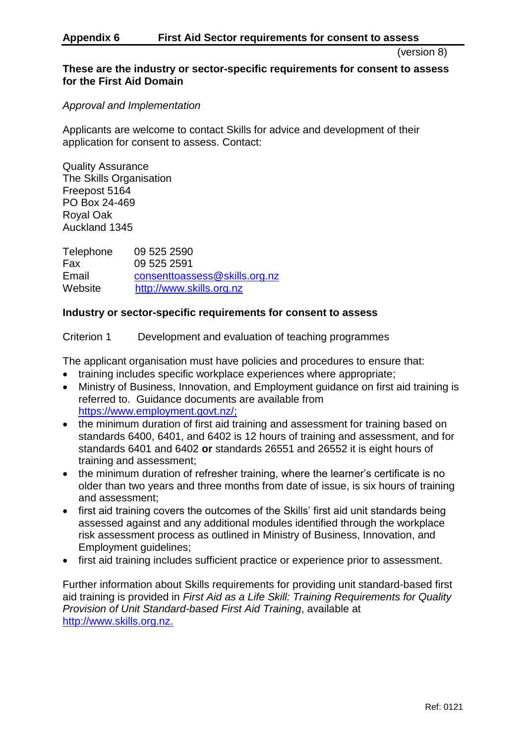### **Appendix 6 First Aid Sector requirements for consent to assess**

(version 8)

### **These are the industry or sector-specific requirements for consent to assess for the First Aid Domain**

*Approval and Implementation* 

Applicants are welcome to contact Skills for advice and development of their application for consent to assess. Contact:

Quality Assurance The Skills Organisation Freepost 5164 PO Box 24-469 Royal Oak Auckland 1345

Telephone 09 525 2590 Fax 09 525 2591 Email [consenttoassess@skills.org.nz](mailto:consenttoassess@skills.org.nz) Website [http://www.skills.org.nz](http://www.skills.org.nz/)

## **Industry or sector-specific requirements for consent to assess**

Criterion 1 Development and evaluation of teaching programmes

The applicant organisation must have policies and procedures to ensure that:

- training includes specific workplace experiences where appropriate;
- Ministry of Business, Innovation, and Employment guidance on first aid training is referred to. Guidance documents are available from [https://www.employment.govt.nz/;](https://www.employment.govt.nz/)
- the minimum duration of first aid training and assessment for training based on standards 6400, 6401, and 6402 is 12 hours of training and assessment, and for standards 6401 and 6402 **or** standards 26551 and 26552 it is eight hours of training and assessment;
- the minimum duration of refresher training, where the learner's certificate is no older than two years and three months from date of issue, is six hours of training and assessment;
- first aid training covers the outcomes of the Skills' first aid unit standards being assessed against and any additional modules identified through the workplace risk assessment process as outlined in Ministry of Business, Innovation, and Employment guidelines;
- first aid training includes sufficient practice or experience prior to assessment.

Further information about Skills requirements for providing unit standard-based first aid training is provided in *First Aid as a Life Skill: Training Requirements for Quality Provision of Unit Standard-based First Aid Training*, available at [http://www.skills.org.nz.](http://skills.org.nz/industries/first-aid)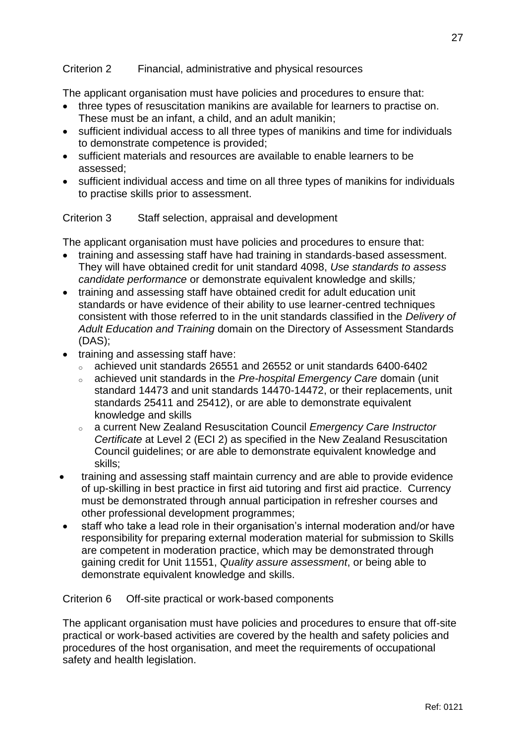## Criterion 2 Financial, administrative and physical resources

The applicant organisation must have policies and procedures to ensure that:

- three types of resuscitation manikins are available for learners to practise on. These must be an infant, a child, and an adult manikin;
- sufficient individual access to all three types of manikins and time for individuals to demonstrate competence is provided;
- sufficient materials and resources are available to enable learners to be assessed;
- sufficient individual access and time on all three types of manikins for individuals to practise skills prior to assessment.

## Criterion 3 Staff selection, appraisal and development

The applicant organisation must have policies and procedures to ensure that:

- training and assessing staff have had training in standards-based assessment. They will have obtained credit for unit standard 4098, *Use standards to assess candidate performance* or demonstrate equivalent knowledge and skills*;*
- training and assessing staff have obtained credit for adult education unit standards or have evidence of their ability to use learner-centred techniques consistent with those referred to in the unit standards classified in the *Delivery of Adult Education and Training* domain on the Directory of Assessment Standards (DAS);
- training and assessing staff have:
	- <sup>o</sup> achieved unit standards 26551 and 26552 or unit standards 6400-6402
	- <sup>o</sup> achieved unit standards in the *Pre-hospital Emergency Care* domain (unit standard 14473 and unit standards 14470-14472, or their replacements, unit standards 25411 and 25412), or are able to demonstrate equivalent knowledge and skills
	- <sup>o</sup> a current New Zealand Resuscitation Council *Emergency Care Instructor Certificate* at Level 2 (ECI 2) as specified in the New Zealand Resuscitation Council guidelines; or are able to demonstrate equivalent knowledge and skills;
- training and assessing staff maintain currency and are able to provide evidence of up-skilling in best practice in first aid tutoring and first aid practice. Currency must be demonstrated through annual participation in refresher courses and other professional development programmes;
- staff who take a lead role in their organisation's internal moderation and/or have responsibility for preparing external moderation material for submission to Skills are competent in moderation practice, which may be demonstrated through gaining credit for Unit 11551, *Quality assure assessment*, or being able to demonstrate equivalent knowledge and skills.

### Criterion 6 Off-site practical or work-based components

The applicant organisation must have policies and procedures to ensure that off-site practical or work-based activities are covered by the health and safety policies and procedures of the host organisation, and meet the requirements of occupational safety and health legislation.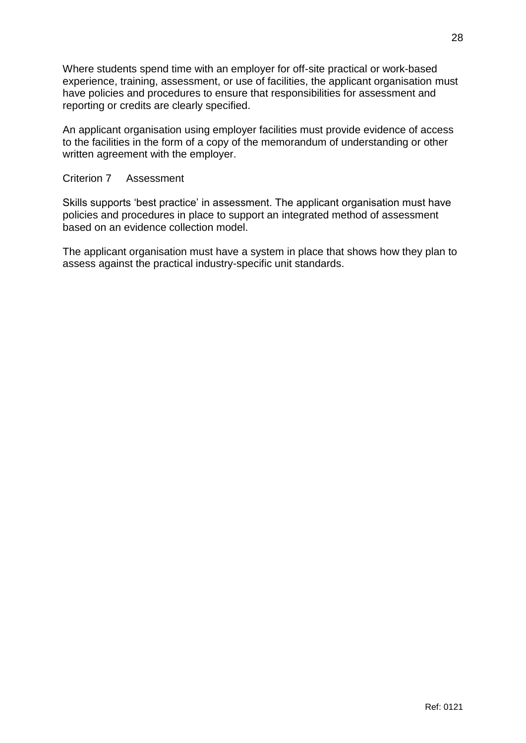Where students spend time with an employer for off-site practical or work-based experience, training, assessment, or use of facilities, the applicant organisation must have policies and procedures to ensure that responsibilities for assessment and reporting or credits are clearly specified.

An applicant organisation using employer facilities must provide evidence of access to the facilities in the form of a copy of the memorandum of understanding or other written agreement with the employer.

## Criterion 7 Assessment

Skills supports 'best practice' in assessment. The applicant organisation must have policies and procedures in place to support an integrated method of assessment based on an evidence collection model.

The applicant organisation must have a system in place that shows how they plan to assess against the practical industry-specific unit standards.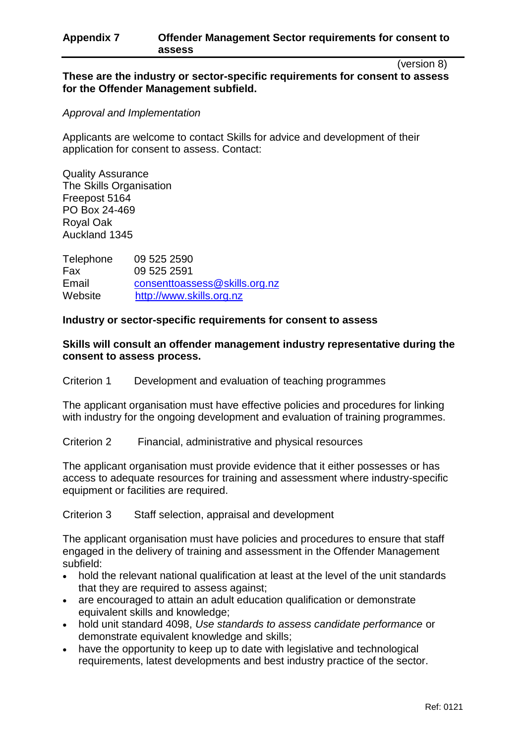## **Appendix 7 Offender Management Sector requirements for consent to assess**

(version 8)

## **These are the industry or sector-specific requirements for consent to assess for the Offender Management subfield.**

### *Approval and Implementation*

Applicants are welcome to contact Skills for advice and development of their application for consent to assess. Contact:

Quality Assurance The Skills Organisation Freepost 5164 PO Box 24-469 Royal Oak Auckland 1345

Telephone 09 525 2590 Fax 09 525 2591 Email [consenttoassess@skills.org.nz](mailto:consenttoassess@skills.org.nz) Website [http://www.skills.org.nz](http://www.skills.org.nz/)

## **Industry or sector-specific requirements for consent to assess**

## **Skills will consult an offender management industry representative during the consent to assess process.**

Criterion 1 Development and evaluation of teaching programmes

The applicant organisation must have effective policies and procedures for linking with industry for the ongoing development and evaluation of training programmes.

Criterion 2 Financial, administrative and physical resources

The applicant organisation must provide evidence that it either possesses or has access to adequate resources for training and assessment where industry-specific equipment or facilities are required.

Criterion 3 Staff selection, appraisal and development

The applicant organisation must have policies and procedures to ensure that staff engaged in the delivery of training and assessment in the Offender Management subfield:

- hold the relevant national qualification at least at the level of the unit standards that they are required to assess against;
- are encouraged to attain an adult education qualification or demonstrate equivalent skills and knowledge;
- hold unit standard 4098, *Use standards to assess candidate performance* or demonstrate equivalent knowledge and skills;
- have the opportunity to keep up to date with legislative and technological requirements, latest developments and best industry practice of the sector.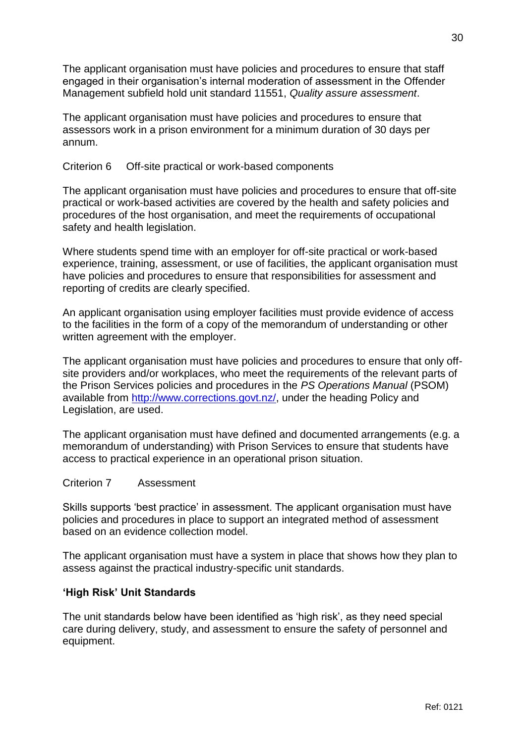The applicant organisation must have policies and procedures to ensure that staff engaged in their organisation's internal moderation of assessment in the Offender Management subfield hold unit standard 11551, *Quality assure assessment*.

The applicant organisation must have policies and procedures to ensure that assessors work in a prison environment for a minimum duration of 30 days per annum.

## Criterion 6 Off-site practical or work-based components

The applicant organisation must have policies and procedures to ensure that off-site practical or work-based activities are covered by the health and safety policies and procedures of the host organisation, and meet the requirements of occupational safety and health legislation.

Where students spend time with an employer for off-site practical or work-based experience, training, assessment, or use of facilities, the applicant organisation must have policies and procedures to ensure that responsibilities for assessment and reporting of credits are clearly specified.

An applicant organisation using employer facilities must provide evidence of access to the facilities in the form of a copy of the memorandum of understanding or other written agreement with the employer.

The applicant organisation must have policies and procedures to ensure that only offsite providers and/or workplaces, who meet the requirements of the relevant parts of the Prison Services policies and procedures in the *PS Operations Manual* (PSOM) available from [http://www.corrections.govt.nz/,](http://www.corrections.govt.nz/) under the heading Policy and Legislation, are used.

The applicant organisation must have defined and documented arrangements (e.g. a memorandum of understanding) with Prison Services to ensure that students have access to practical experience in an operational prison situation.

## Criterion 7 Assessment

Skills supports 'best practice' in assessment. The applicant organisation must have policies and procedures in place to support an integrated method of assessment based on an evidence collection model.

The applicant organisation must have a system in place that shows how they plan to assess against the practical industry-specific unit standards.

## **'High Risk' Unit Standards**

The unit standards below have been identified as 'high risk', as they need special care during delivery, study, and assessment to ensure the safety of personnel and equipment.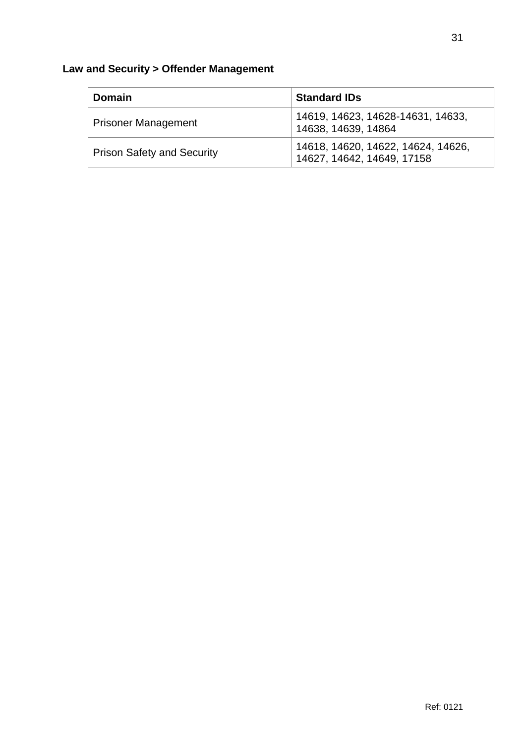# **Law and Security > Offender Management**

| <b>Domain</b>                     | <b>Standard IDs</b>                                              |
|-----------------------------------|------------------------------------------------------------------|
| <b>Prisoner Management</b>        | 14619, 14623, 14628-14631, 14633,<br>14638, 14639, 14864         |
| <b>Prison Safety and Security</b> | 14618, 14620, 14622, 14624, 14626,<br>14627, 14642, 14649, 17158 |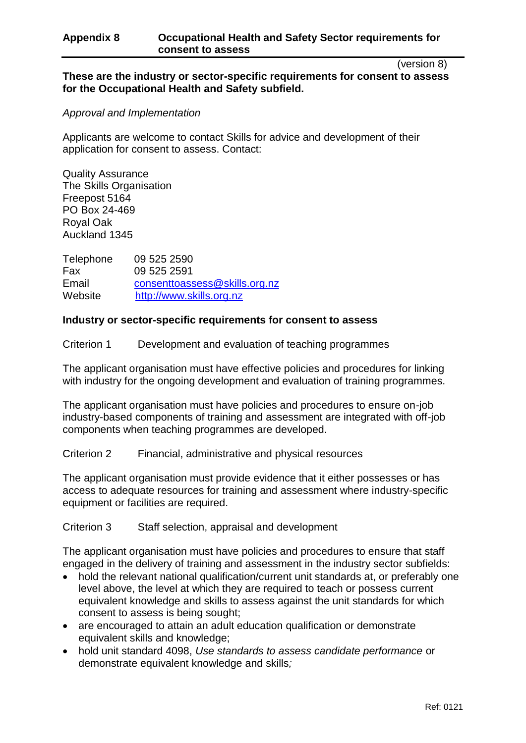## **Appendix 8 Occupational Health and Safety Sector requirements for consent to assess**

(version 8)

## **These are the industry or sector-specific requirements for consent to assess for the Occupational Health and Safety subfield.**

### *Approval and Implementation*

Applicants are welcome to contact Skills for advice and development of their application for consent to assess. Contact:

Quality Assurance The Skills Organisation Freepost 5164 PO Box 24-469 Royal Oak Auckland 1345

Telephone 09 525 2590 Fax 09 525 2591 Email [consenttoassess@skills.org.nz](mailto:consenttoassess@skills.org.nz) Website [http://www.skills.org.nz](http://www.skills.org.nz/)

## **Industry or sector-specific requirements for consent to assess**

Criterion 1 Development and evaluation of teaching programmes

The applicant organisation must have effective policies and procedures for linking with industry for the ongoing development and evaluation of training programmes.

The applicant organisation must have policies and procedures to ensure on-job industry-based components of training and assessment are integrated with off-job components when teaching programmes are developed.

Criterion 2 Financial, administrative and physical resources

The applicant organisation must provide evidence that it either possesses or has access to adequate resources for training and assessment where industry-specific equipment or facilities are required.

Criterion 3 Staff selection, appraisal and development

The applicant organisation must have policies and procedures to ensure that staff engaged in the delivery of training and assessment in the industry sector subfields:

- hold the relevant national qualification/current unit standards at, or preferably one level above, the level at which they are required to teach or possess current equivalent knowledge and skills to assess against the unit standards for which consent to assess is being sought;
- are encouraged to attain an adult education qualification or demonstrate equivalent skills and knowledge;
- hold unit standard 4098, *Use standards to assess candidate performance* or demonstrate equivalent knowledge and skills*;*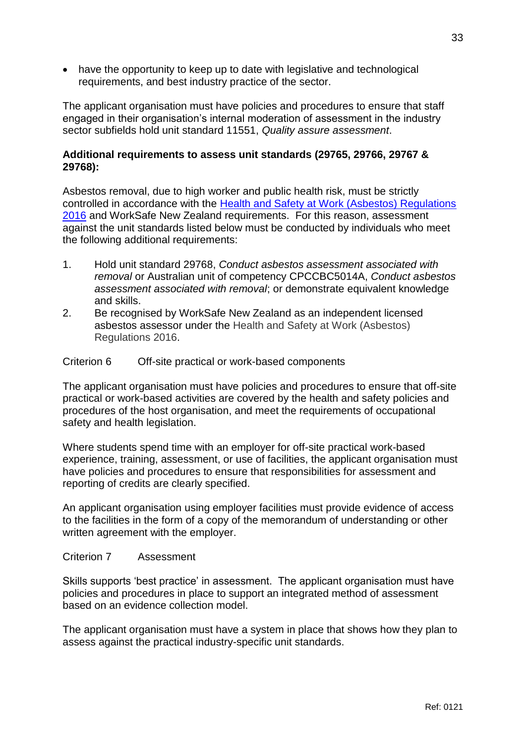• have the opportunity to keep up to date with legislative and technological requirements, and best industry practice of the sector.

The applicant organisation must have policies and procedures to ensure that staff engaged in their organisation's internal moderation of assessment in the industry sector subfields hold unit standard 11551, *Quality assure assessment*.

## **Additional requirements to assess unit standards (29765, 29766, 29767 & 29768):**

Asbestos removal, due to high worker and public health risk, must be strictly controlled in accordance with the [Health and Safety at Work \(Asbestos\) Regulations](http://www.legislation.govt.nz/regulation/public/2016/0015/latest/DLM6729706.html?search=ts_act%40bill%40regulation%40deemedreg_asbestos_resel_25_a&p=1)  [2016](http://www.legislation.govt.nz/regulation/public/2016/0015/latest/DLM6729706.html?search=ts_act%40bill%40regulation%40deemedreg_asbestos_resel_25_a&p=1) and WorkSafe New Zealand requirements. For this reason, assessment against the unit standards listed below must be conducted by individuals who meet the following additional requirements:

- 1. Hold unit standard 29768, *Conduct asbestos assessment associated with removal* or Australian unit of competency CPCCBC5014A, *Conduct asbestos assessment associated with removal*; or demonstrate equivalent knowledge and skills.
- 2. Be recognised by WorkSafe New Zealand as an independent licensed asbestos assessor under the Health and Safety at Work (Asbestos) Regulations 2016.

## Criterion 6 Off-site practical or work-based components

The applicant organisation must have policies and procedures to ensure that off-site practical or work-based activities are covered by the health and safety policies and procedures of the host organisation, and meet the requirements of occupational safety and health legislation.

Where students spend time with an employer for off-site practical work-based experience, training, assessment, or use of facilities, the applicant organisation must have policies and procedures to ensure that responsibilities for assessment and reporting of credits are clearly specified.

An applicant organisation using employer facilities must provide evidence of access to the facilities in the form of a copy of the memorandum of understanding or other written agreement with the employer.

### Criterion 7 Assessment

Skills supports 'best practice' in assessment. The applicant organisation must have policies and procedures in place to support an integrated method of assessment based on an evidence collection model.

The applicant organisation must have a system in place that shows how they plan to assess against the practical industry-specific unit standards.